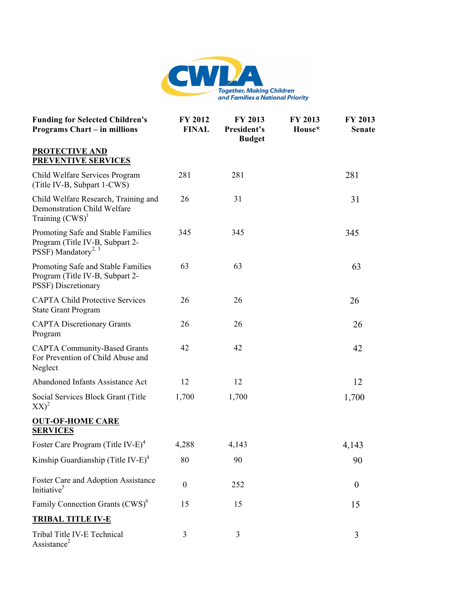

| <b>Funding for Selected Children's</b><br><b>Programs Chart – in millions</b>                            | FY 2012<br><b>FINAL</b> | FY 2013<br>President's<br><b>Budget</b> | FY 2013<br>House* | FY 2013<br><b>Senate</b> |
|----------------------------------------------------------------------------------------------------------|-------------------------|-----------------------------------------|-------------------|--------------------------|
| <b>PROTECTIVE AND</b><br><b>PREVENTIVE SERVICES</b>                                                      |                         |                                         |                   |                          |
| Child Welfare Services Program<br>(Title IV-B, Subpart 1-CWS)                                            | 281                     | 281                                     |                   | 281                      |
| Child Welfare Research, Training and<br><b>Demonstration Child Welfare</b><br>Training $(CWS)^1$         | 26                      | 31                                      |                   | 31                       |
| Promoting Safe and Stable Families<br>Program (Title IV-B, Subpart 2-<br>PSSF) Mandatory <sup>2, 3</sup> | 345                     | 345                                     |                   | 345                      |
| Promoting Safe and Stable Families<br>Program (Title IV-B, Subpart 2-<br>PSSF) Discretionary             | 63                      | 63                                      |                   | 63                       |
| <b>CAPTA Child Protective Services</b><br><b>State Grant Program</b>                                     | 26                      | 26                                      |                   | 26                       |
| <b>CAPTA Discretionary Grants</b><br>Program                                                             | 26                      | 26                                      |                   | 26                       |
| <b>CAPTA Community-Based Grants</b><br>For Prevention of Child Abuse and<br>Neglect                      | 42                      | 42                                      |                   | 42                       |
| Abandoned Infants Assistance Act                                                                         | 12                      | 12                                      |                   | 12                       |
| Social Services Block Grant (Title<br>$XX)^2$                                                            | 1,700                   | 1,700                                   |                   | 1,700                    |
| <b>OUT-OF-HOME CARE</b><br><b>SERVICES</b>                                                               |                         |                                         |                   |                          |
| Foster Care Program (Title IV-E) <sup>4</sup>                                                            | 4,288                   | 4,143                                   |                   | 4,143                    |
| Kinship Guardianship (Title IV-E) <sup>4</sup>                                                           | $80\,$                  | 90                                      |                   | 90                       |
| Foster Care and Adoption Assistance<br>Initiative <sup>5</sup>                                           | $\boldsymbol{0}$        | 252                                     |                   | $\boldsymbol{0}$         |
| Family Connection Grants (CWS) <sup>6</sup>                                                              | 15                      | 15                                      |                   | 15                       |
| <b>TRIBAL TITLE IV-E</b>                                                                                 |                         |                                         |                   |                          |
| Tribal Title IV-E Technical<br>Assistance <sup>2</sup>                                                   | 3                       | 3                                       |                   | 3                        |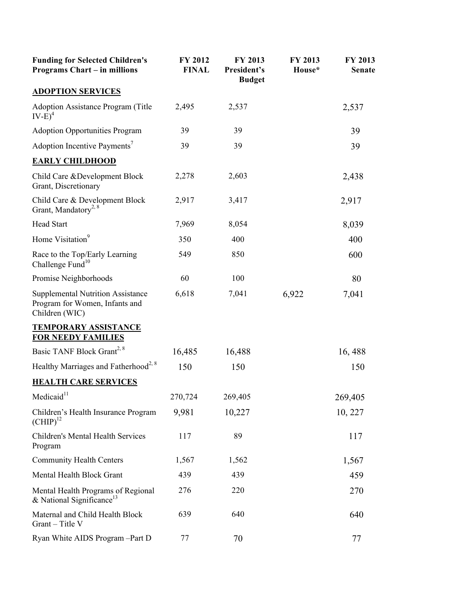| <b>Funding for Selected Children's</b><br><b>Programs Chart – in millions</b>                | FY 2012<br><b>FINAL</b> | FY 2013<br>President's<br><b>Budget</b> | FY 2013<br>House* | FY 2013<br><b>Senate</b> |
|----------------------------------------------------------------------------------------------|-------------------------|-----------------------------------------|-------------------|--------------------------|
| <b>ADOPTION SERVICES</b>                                                                     |                         |                                         |                   |                          |
| <b>Adoption Assistance Program (Title</b><br>$IV-E)^4$                                       | 2,495                   | 2,537                                   |                   | 2,537                    |
| <b>Adoption Opportunities Program</b>                                                        | 39                      | 39                                      |                   | 39                       |
| Adoption Incentive Payments <sup>7</sup>                                                     | 39                      | 39                                      |                   | 39                       |
| <b>EARLY CHILDHOOD</b>                                                                       |                         |                                         |                   |                          |
| Child Care & Development Block<br>Grant, Discretionary                                       | 2,278                   | 2,603                                   |                   | 2,438                    |
| Child Care & Development Block<br>Grant, Mandatory <sup>2, 8</sup>                           | 2,917                   | 3,417                                   |                   | 2,917                    |
| <b>Head Start</b>                                                                            | 7,969                   | 8,054                                   |                   | 8,039                    |
| Home Visitation <sup>9</sup>                                                                 | 350                     | 400                                     |                   | 400                      |
| Race to the Top/Early Learning<br>Challenge Fund $10$                                        | 549                     | 850                                     |                   | 600                      |
| Promise Neighborhoods                                                                        | 60                      | 100                                     |                   | 80                       |
| <b>Supplemental Nutrition Assistance</b><br>Program for Women, Infants and<br>Children (WIC) | 6,618                   | 7,041                                   | 6,922             | 7,041                    |
| <b>TEMPORARY ASSISTANCE</b><br><b>FOR NEEDY FAMILIES</b>                                     |                         |                                         |                   |                          |
| Basic TANF Block Grant <sup>2, 8</sup>                                                       | 16,485                  | 16,488                                  |                   | 16, 488                  |
| Healthy Marriages and Fatherhood <sup>2, 8</sup>                                             | 150                     | 150                                     |                   | 150                      |
| <b>HEALTH CARE SERVICES</b>                                                                  |                         |                                         |                   |                          |
| Medicaid <sup>11</sup>                                                                       | 270,724                 | 269,405                                 |                   | 269,405                  |
| Children's Health Insurance Program<br>$\text{(CHIP)}^{12}$                                  | 9,981                   | 10,227                                  |                   | 10, 227                  |
| Children's Mental Health Services<br>Program                                                 | 117                     | 89                                      |                   | 117                      |
| <b>Community Health Centers</b>                                                              | 1,567                   | 1,562                                   |                   | 1,567                    |
| Mental Health Block Grant                                                                    | 439                     | 439                                     |                   | 459                      |
| Mental Health Programs of Regional<br>& National Significance <sup>13</sup>                  | 276                     | 220                                     |                   | 270                      |
| Maternal and Child Health Block<br>Grant - Title V                                           | 639                     | 640                                     |                   | 640                      |
| Ryan White AIDS Program - Part D                                                             | 77                      | 70                                      |                   | 77                       |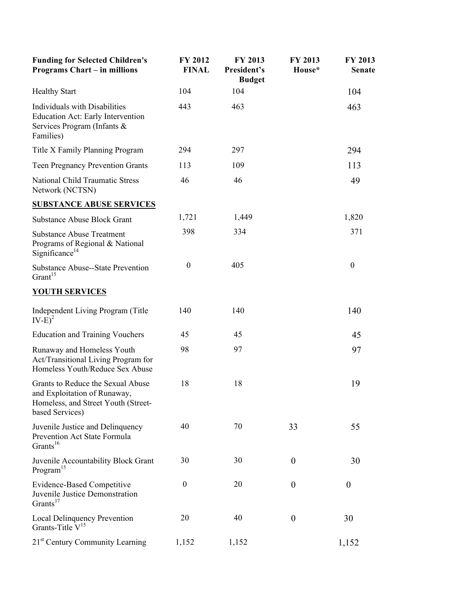| <b>Funding for Selected Children's</b><br><b>Programs Chart – in millions</b>                                               | FY 2012<br><b>FINAL</b> | FY 2013<br>President's<br><b>Budget</b> | FY 2013<br>House* | FY 2013<br><b>Senate</b> |
|-----------------------------------------------------------------------------------------------------------------------------|-------------------------|-----------------------------------------|-------------------|--------------------------|
| <b>Healthy Start</b>                                                                                                        | 104                     | 104                                     |                   | 104                      |
| Individuals with Disabilities<br><b>Education Act: Early Intervention</b><br>Services Program (Infants &<br>Families)       | 443                     | 463                                     |                   | 463                      |
| Title X Family Planning Program                                                                                             | 294                     | 297                                     |                   | 294                      |
| <b>Teen Pregnancy Prevention Grants</b>                                                                                     | 113                     | 109                                     |                   | 113                      |
| <b>National Child Traumatic Stress</b><br>Network (NCTSN)                                                                   | 46                      | 46                                      |                   | 49                       |
| <b>SUBSTANCE ABUSE SERVICES</b>                                                                                             |                         |                                         |                   |                          |
| <b>Substance Abuse Block Grant</b>                                                                                          | 1,721                   | 1,449                                   |                   | 1,820                    |
| <b>Substance Abuse Treatment</b><br>Programs of Regional & National<br>Significance <sup>14</sup>                           | 398                     | 334                                     |                   | 371                      |
| <b>Substance Abuse--State Prevention</b><br>Grant <sup>15</sup>                                                             | $\boldsymbol{0}$        | 405                                     |                   | $\boldsymbol{0}$         |
| <b>YOUTH SERVICES</b>                                                                                                       |                         |                                         |                   |                          |
| Independent Living Program (Title<br>$IV-E)^2$                                                                              | 140                     | 140                                     |                   | 140                      |
| <b>Education and Training Vouchers</b>                                                                                      | 45                      | 45                                      |                   | 45                       |
| Runaway and Homeless Youth<br>Act/Transitional Living Program for<br>Homeless Youth/Reduce Sex Abuse                        | 98                      | 97                                      |                   | 97                       |
| Grants to Reduce the Sexual Abuse<br>and Exploitation of Runaway,<br>Homeless, and Street Youth (Street-<br>based Services) | 18                      | 18                                      |                   | 19                       |
| Juvenile Justice and Delinquency<br>Prevention Act State Formula<br>Grants <sup>16</sup>                                    | 40                      | 70                                      | 33                | 55                       |
| Juvenile Accountability Block Grant<br>Program <sup>15</sup>                                                                | 30                      | 30                                      | $\boldsymbol{0}$  | 30                       |
| <b>Evidence-Based Competitive</b><br>Juvenile Justice Demonstration<br>Grants <sup>17</sup>                                 | $\boldsymbol{0}$        | 20                                      | $\boldsymbol{0}$  | $\boldsymbol{0}$         |
| <b>Local Delinquency Prevention</b><br>Grants-Title V <sup>15</sup>                                                         | 20                      | 40                                      | $\boldsymbol{0}$  | 30                       |
| 21 <sup>st</sup> Century Community Learning                                                                                 | 1,152                   | 1,152                                   |                   | 1,152                    |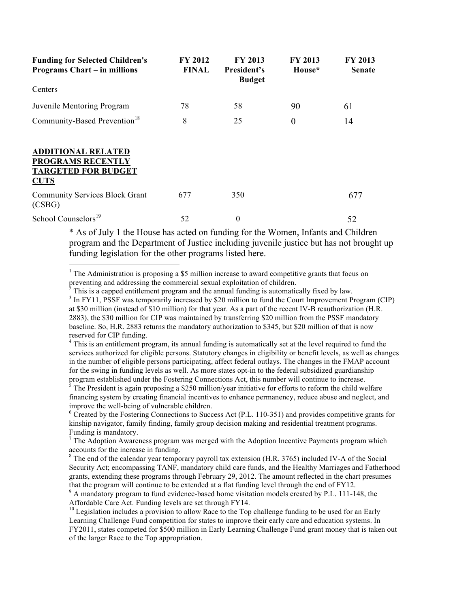| <b>Funding for Selected Children's</b><br><b>Programs Chart – in millions</b>                      | <b>FY 2012</b><br><b>FINAL</b> | FY 2013<br>President's<br><b>Budget</b> | <b>FY 2013</b><br>House* | <b>FY 2013</b><br><b>Senate</b> |
|----------------------------------------------------------------------------------------------------|--------------------------------|-----------------------------------------|--------------------------|---------------------------------|
| Centers                                                                                            |                                |                                         |                          |                                 |
| Juvenile Mentoring Program                                                                         | 78                             | 58                                      | 90                       | 61                              |
| Community-Based Prevention <sup>18</sup>                                                           | 8                              | 25                                      | $\boldsymbol{0}$         | 14                              |
| <b>ADDITIONAL RELATED</b><br><b>PROGRAMS RECENTLY</b><br><b>TARGETED FOR BUDGET</b><br><b>CUTS</b> |                                |                                         |                          |                                 |
| <b>Community Services Block Grant</b><br>(CSBG)                                                    | 677                            | 350                                     |                          | 677                             |
| School Counselors <sup>19</sup>                                                                    | 52                             | $\boldsymbol{0}$                        |                          | 52                              |

\* As of July 1 the House has acted on funding for the Women, Infants and Children program and the Department of Justice including juvenile justice but has not brought up funding legislation for the other programs listed here.

<sup>1</sup> The Administration is proposing a \$5 million increase to award competitive grants that focus on preventing and addressing the commercial sexual exploitation of children.<br><sup>2</sup> This is a cannod entitlement pregram and the annual funding is sutprestig

1

 This is a capped entitlement program and the annual funding is automatically fixed by law. <sup>3</sup> In FY11, PSSF was temporarily increased by \$20 million to fund the Court Improvement Program (CIP) at \$30 million (instead of \$10 million) for that year. As a part of the recent IV-B reauthorization (H.R. 2883), the \$30 million for CIP was maintained by transferring \$20 million from the PSSF mandatory baseline. So, H.R. 2883 returns the mandatory authorization to \$345, but \$20 million of that is now reserved for CIP funding.

<sup>4</sup> This is an entitlement program, its annual funding is automatically set at the level required to fund the services authorized for eligible persons. Statutory changes in eligibility or benefit levels, as well as changes in the number of eligible persons participating, affect federal outlays. The changes in the FMAP account for the swing in funding levels as well. As more states opt-in to the federal subsidized guardianship program established under the Fostering Connections Act, this number will continue to increase. 5

 $3$  The President is again proposing a \$250 million/year initiative for efforts to reform the child welfare financing system by creating financial incentives to enhance permanency, reduce abuse and neglect, and improve the well-being of vulnerable children.

<sup>6</sup> Created by the Fostering Connections to Success Act (P.L. 110-351) and provides competitive grants for kinship navigator, family finding, family group decision making and residential treatment programs. Funding is mandatory.

 $<sup>7</sup>$  The Adoption Awareness program was merged with the Adoption Incentive Payments program which</sup> accounts for the increase in funding.

<sup>8</sup> The end of the calendar year temporary payroll tax extension (H.R. 3765) included IV-A of the Social Security Act; encompassing TANF, mandatory child care funds, and the Healthy Marriages and Fatherhood grants, extending these programs through February 29, 2012. The amount reflected in the chart presumes that the program will continue to be extended at a flat funding level through the end of FY12. 9

 $9$  A mandatory program to fund evidence-based home visitation models created by P.L. 111-148, the Affordable Care Act. Funding levels are set through FY14.<br><sup>10</sup> Legislation includes a provision to allow Race to the Top challenge funding to be used for an Early

Learning Challenge Fund competition for states to improve their early care and education systems. In FY2011, states competed for \$500 million in Early Learning Challenge Fund grant money that is taken out of the larger Race to the Top appropriation.